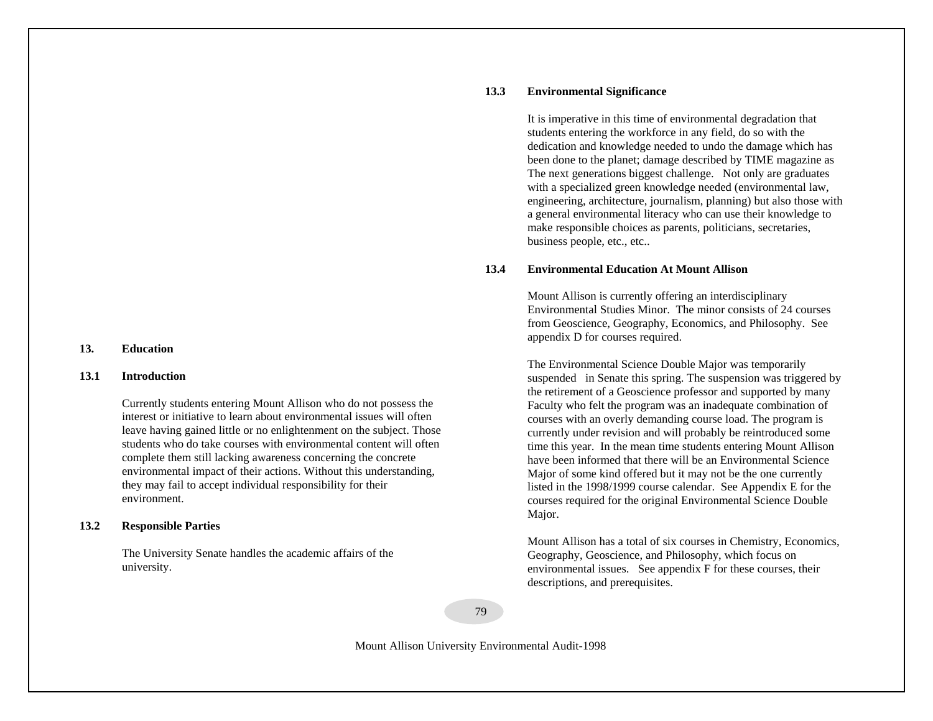#### **13. Education**

#### **13.1 Introduction**

Currently students entering Mount Allison who do not possess the interest or initiative to learn about environmental issues will often leave having gained little or no enlightenment on the subject. Those students who do take courses with environmental content will often complete them still lacking awareness concerning the concrete environmental impact of their actions. Without this understanding, they may fail to accept individual responsibility for their environment.

#### **13.2 Responsible Parties**

The University Senate handles the academic affairs of the university.

#### **13.3 Environmental Significance**

It is imperative in this time of environmental degradation that students entering the workforce in any field, do so with the dedication and knowledge needed to undo the damage which has been done to the planet; damage described by TIME magazine as The next generations biggest challenge. Not only are graduates with a specialized green knowledge needed (environmental law, engineering, architecture, journalism, planning) but also those with a general environmental literacy who can use their knowledge to make responsible choices as parents, politicians, secretaries, business people, etc., etc..

#### **13.4 Environmental Education At Mount Allison**

Mount Allison is currently offering an interdisciplinary Environmental Studies Minor. The minor consists of 24 courses from Geoscience, Geography, Economics, and Philosophy. See appendix D for courses required.

The Environmental Science Double Major was temporarily suspended in Senate this spring. The suspension was triggered by the retirement of a Geoscience professor and supported by many Faculty who felt the program was an inadequate combination of courses with an overly demanding course load. The program is currently under revision and will probably be reintroduced some time this year. In the mean time students entering Mount Allison have been informed that there will be an Environmental Science Major of some kind offered but it may not be the one currently listed in the 1998/1999 course calendar. See Appendix E for the courses required for the original Environmental Science Double Major.

Mount Allison has a total of six courses in Chemistry, Economics, Geography, Geoscience, and Philosophy, which focus on environmental issues. See appendix F for these courses, their descriptions, and prerequisites.

79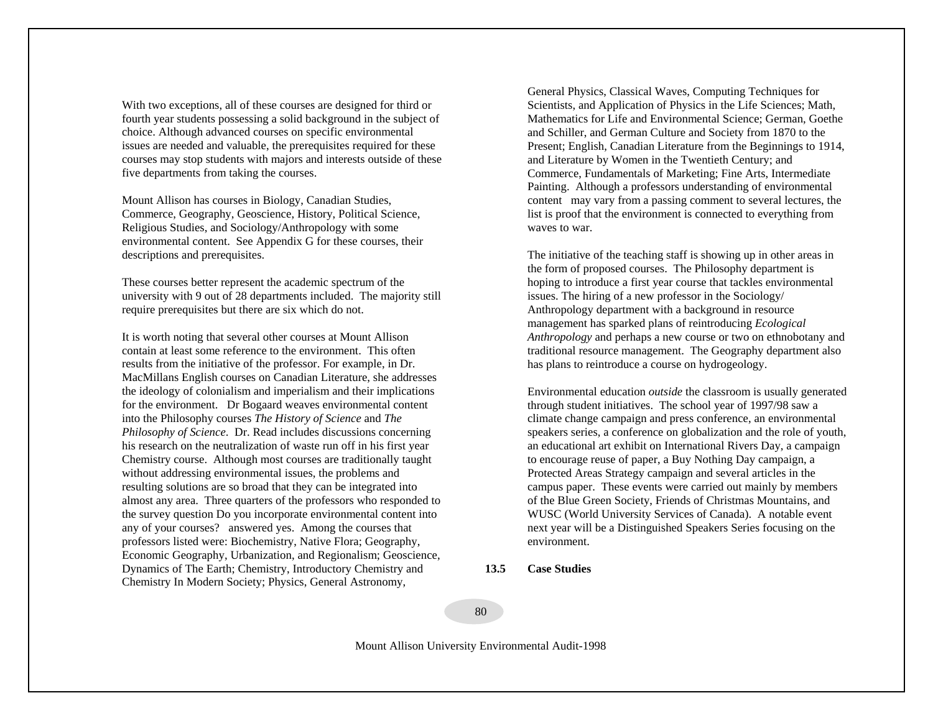With two exceptions, all of these courses are designed for third or fourth year students possessing a solid background in the subject of choice. Although advanced courses on specific environmental issues are needed and valuable, the prerequisites required for these courses may stop students with majors and interests outside of these five departments from taking the courses.

Mount Allison has courses in Biology, Canadian Studies, Commerce, Geography, Geoscience, History, Political Science, Religious Studies, and Sociology/Anthropology with some environmental content. See Appendix G for these courses, their descriptions and prerequisites.

These courses better represent the academic spectrum of the university with 9 out of 28 departments included. The majority still require prerequisites but there are six which do not.

It is worth noting that several other courses at Mount Allison contain at least some reference to the environment. This often results from the initiative of the professor. For example, in Dr. MacMillans English courses on Canadian Literature, she addresses the ideology of colonialism and imperialism and their implications for the environment. Dr Bogaard weaves environmental content into the Philosophy courses *The History of Science* and *The Philosophy of Science*. Dr. Read includes discussions concerning his research on the neutralization of waste run off in his first year Chemistry course. Although most courses are traditionally taught without addressing environmental issues, the problems and resulting solutions are so broad that they can be integrated into almost any area. Three quarters of the professors who responded to the survey question Do you incorporate environmental content into any of your courses? answered yes. Among the courses that professors listed were: Biochemistry, Native Flora; Geography, Economic Geography, Urbanization, and Regionalism; Geoscience, Dynamics of The Earth; Chemistry, Introductory Chemistry and Chemistry In Modern Society; Physics, General Astronomy,

General Physics, Classical Waves, Computing Techniques for Scientists, and Application of Physics in the Life Sciences; Math, Mathematics for Life and Environmental Science; German, Goethe and Schiller, and German Culture and Society from 1870 to the Present; English, Canadian Literature from the Beginnings to 1914, and Literature by Women in the Twentieth Century; and Commerce, Fundamentals of Marketing; Fine Arts, Intermediate Painting. Although a professors understanding of environmental content may vary from a passing comment to several lectures, the list is proof that the environment is connected to everything from waves to war.

The initiative of the teaching staff is showing up in other areas in the form of proposed courses. The Philosophy department is hoping to introduce a first year course that tackles environmental issues. The hiring of a new professor in the Sociology/ Anthropology department with a background in resource management has sparked plans of reintroducing *Ecological Anthropology* and perhaps a new course or two on ethnobotany and traditional resource management. The Geography department also has plans to reintroduce a course on hydrogeology.

Environmental education *outside* the classroom is usually generated through student initiatives. The school year of 1997/98 saw a climate change campaign and press conference, an environmental speakers series, a conference on globalization and the role of youth, an educational art exhibit on International Rivers Day, a campaign to encourage reuse of paper, a Buy Nothing Day campaign, a Protected Areas Strategy campaign and several articles in the campus paper. These events were carried out mainly by members of the Blue Green Society, Friends of Christmas Mountains, and WUSC (World University Services of Canada). A notable event next year will be a Distinguished Speakers Series focusing on the environment.

## **13.5 Case Studies**

#### 80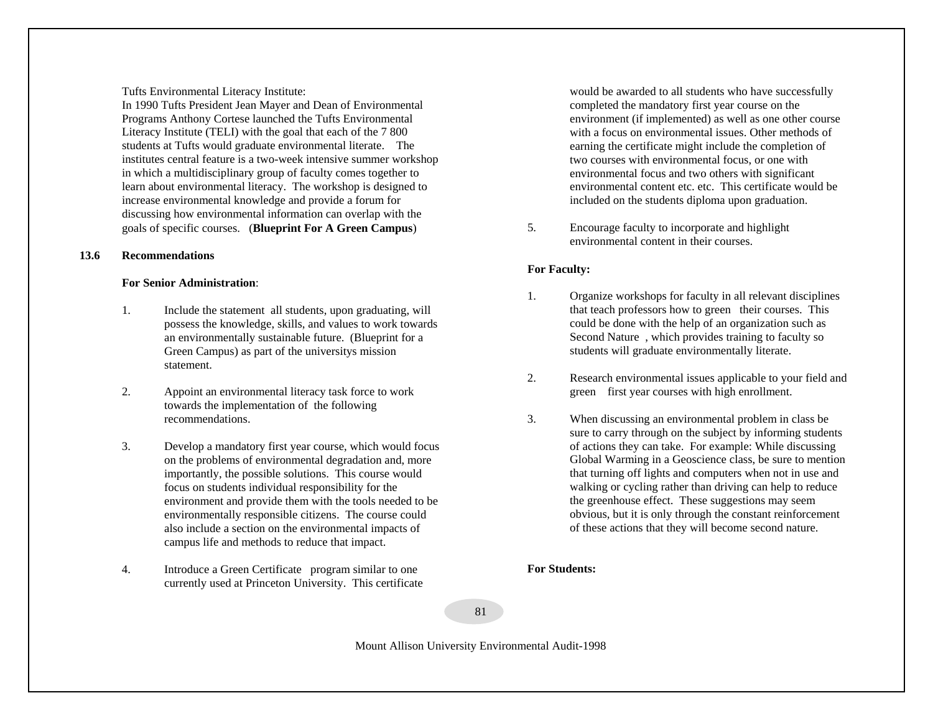Tufts Environmental Literacy Institute:

In 1990 Tufts President Jean Mayer and Dean of Environmental Programs Anthony Cortese launched the Tufts Environmental Literacy Institute (TELI) with the goal that each of the 7 800 students at Tufts would graduate environmental literate. The institutes central feature is a two-week intensive summer workshop in which a multidisciplinary group of faculty comes together to learn about environmental literacy. The workshop is designed to increase environmental knowledge and provide a forum for discussing how environmental information can overlap with the goals of specific courses. (**Blueprint For A Green Campus**)

## **13.6 Recommendations**

## **For Senior Administration**:

- 1. Include the statement all students, upon graduating, will possess the knowledge, skills, and values to work towards an environmentally sustainable future. (Blueprint for a Green Campus) as part of the universitys mission statement.
- 2. Appoint an environmental literacy task force to work towards the implementation of the following recommendations.
- 3. Develop a mandatory first year course, which would focus on the problems of environmental degradation and, more importantly, the possible solutions. This course would focus on students individual responsibility for the environment and provide them with the tools needed to be environmentally responsible citizens. The course could also include a section on the environmental impacts of campus life and methods to reduce that impact.
- 4. Introduce a Green Certificate program similar to one currently used at Princeton University. This certificate

would be awarded to all students who have successfully completed the mandatory first year course on the environment (if implemented) as well as one other course with a focus on environmental issues. Other methods of earning the certificate might include the completion of two courses with environmental focus, or one with environmental focus and two others with significant environmental content etc. etc. This certificate would be included on the students diploma upon graduation.

5. Encourage faculty to incorporate and highlight environmental content in their courses.

# **For Faculty:**

- 1. Organize workshops for faculty in all relevant disciplines that teach professors how to green their courses. This could be done with the help of an organization such as Second Nature, which provides training to faculty so students will graduate environmentally literate.
- 2. Research environmental issues applicable to your field and green first year courses with high enrollment.
- 3. When discussing an environmental problem in class be sure to carry through on the subject by informing students of actions they can take. For example: While discussing Global Warming in a Geoscience class, be sure to mention that turning off lights and computers when not in use and walking or cycling rather than driving can help to reduce the greenhouse effect. These suggestions may seem obvious, but it is only through the constant reinforcement of these actions that they will become second nature.

**For Students:** 

81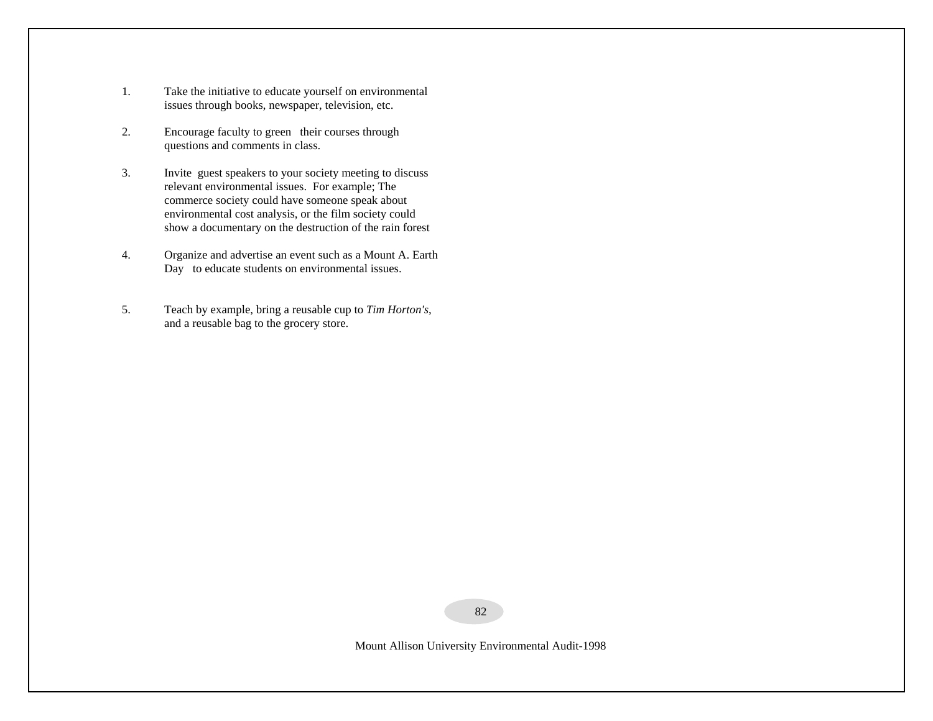- 1. Take the initiative to educate yourself on environmental issues through books, newspaper, television, etc.
- 2. Encourage faculty to green their courses through questions and comments in class.
- 3. Invite guest speakers to your society meeting to discuss relevant environmental issues. For example; The commerce society could have someone speak about environmental cost analysis, or the film society could show a documentary on the destruction of the rain forest
- 4. Organize and advertise an event such as a Mount A. Earth Day to educate students on environmental issues.
- 5. Teach by example, bring a reusable cup to *Tim Horton's*, and a reusable bag to the grocery store.

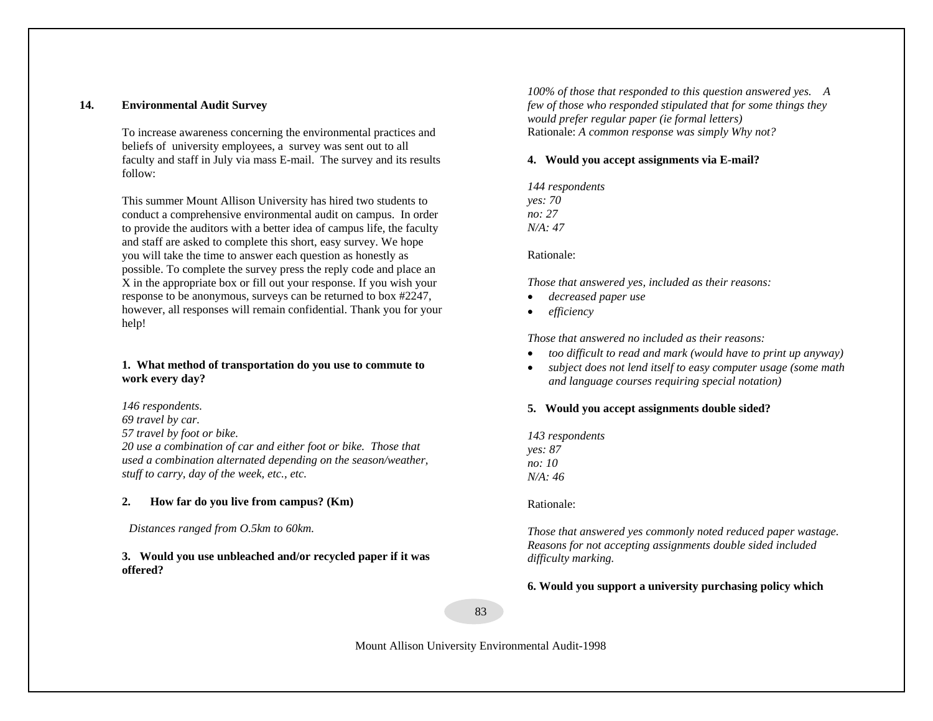## **14. Environmental Audit Survey**

To increase awareness concerning the environmental practices and beliefs of university employees, a survey was sent out to all faculty and staff in July via mass E-mail. The survey and its results follow:

This summer Mount Allison University has hired two students to conduct a comprehensive environmental audit on campus. In order to provide the auditors with a better idea of campus life, the faculty and staff are asked to complete this short, easy survey. We hope you will take the time to answer each question as honestly as possible. To complete the survey press the reply code and place an X in the appropriate box or fill out your response. If you wish your response to be anonymous, surveys can be returned to box #2247, however, all responses will remain confidential. Thank you for your help!

## **1. What method of transportation do you use to commute to work every day?**

*146 respondents. 69 travel by car. 57 travel by foot or bike. 20 use a combination of car and either foot or bike. Those that used a combination alternated depending on the season/weather, stuff to carry, day of the week, etc., etc.*

#### **2.How far do you live from campus? (Km)**

*Distances ranged from O.5km to 60km.*

**3. Would you use unbleached and/or recycled paper if it was offered?**

*100% of those that responded to this question answered yes.<sup>A</sup> few of those who responded stipulated that for some things they would prefer regular paper (ie formal letters)* Rationale: *A common response was simply Why not?*

## **4. Would you accept assignments via E-mail?**

*144 respondents yes: 70 no: 27 N/A: 47* 

Rationale:

*Those that answered yes, included as their reasons:* 

- •*decreased paper use*
- •*efficiency*

*Those that answered no included as their reasons:* 

- •*too difficult to read and mark (would have to print up anyway)*
- $\bullet$  *subject does not lend itself to easy computer usage (some math and language courses requiring special notation)*

## **5. Would you accept assignments double sided?**

*143 respondents yes: 87 no: 10 N/A: 46* 

Rationale:

*Those that answered yes commonly noted reduced paper wastage. Reasons for not accepting assignments double sided included difficulty marking.* 

**6. Would you support a university purchasing policy which**

83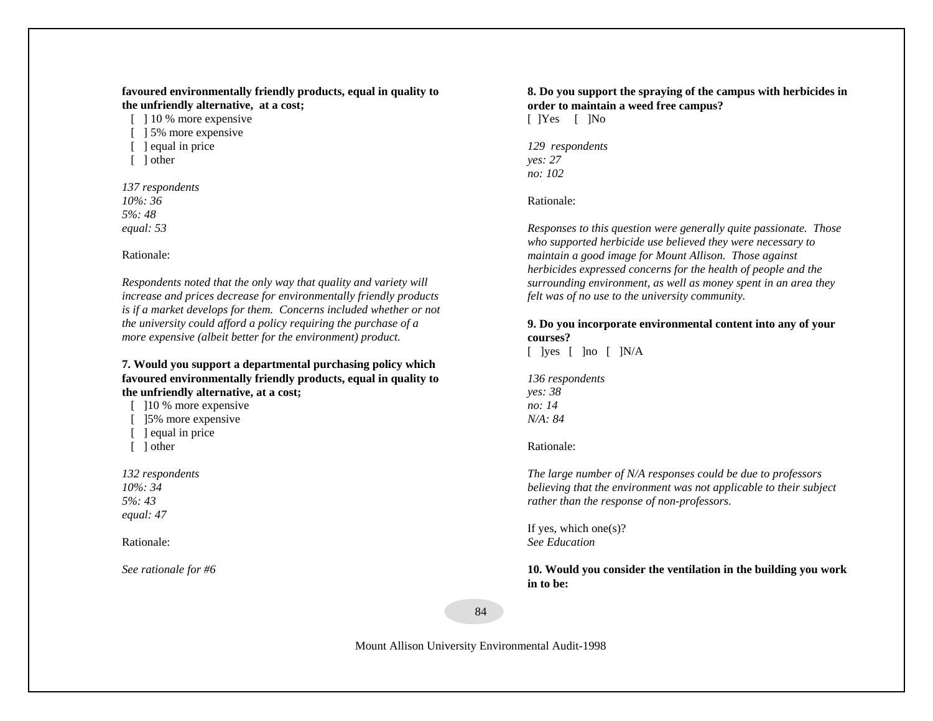## **favoured environmentally friendly products, equal in quality to the unfriendly alternative, at a cost;**

[ ] 10 % more expensive [  $\vert$  5% more expensive

- [ ] equal in price
- [ ] other

*137 respondents 10%: 36 5%: 48 equal: 53*

## Rationale:

*Respondents noted that the only way that quality and variety will increase and prices decrease for environmentally friendly products is if a market develops for them. Concerns included whether or not the university could afford a policy requiring the purchase of a more expensive (albeit better for the environment) product.*

## **7. Would you support a departmental purchasing policy which favoured environmentally friendly products, equal in quality to the unfriendly alternative, at a cost;**

[  $10\%$  more expensive [ 15% more expensive

- [ ] equal in price
- [ ] other

*132 respondents 10%: 34 5%: 43 equal: 47*

Rationale:

*See rationale for #6*

# **8. Do you support the spraying of the campus with herbicides in order to maintain a weed free campus?**

[ ]Yes [ ]No

*129 respondents yes: 27 no: 102* 

Rationale:

*Responses to this question were generally quite passionate. Those who supported herbicide use believed they were necessary to maintain a good image for Mount Allison. Those against herbicides expressed concerns for the health of people and the surrounding environment, as well as money spent in an area they felt was of no use to the university community.*

## **9. Do you incorporate environmental content into any of your courses?**

 $\lceil$  lyes  $\lceil$  lno  $\lceil$  lN/A

*136 respondents yes: 38 no: 14 N/A: 84* 

## Rationale:

*The large number of N/A responses could be due to professors believing that the environment was not applicable to their subject rather than the response of non-professors.* 

If yes, which one $(s)$ ? *See Education* 

**10. Would you consider the ventilation in the building you work in to be:**

84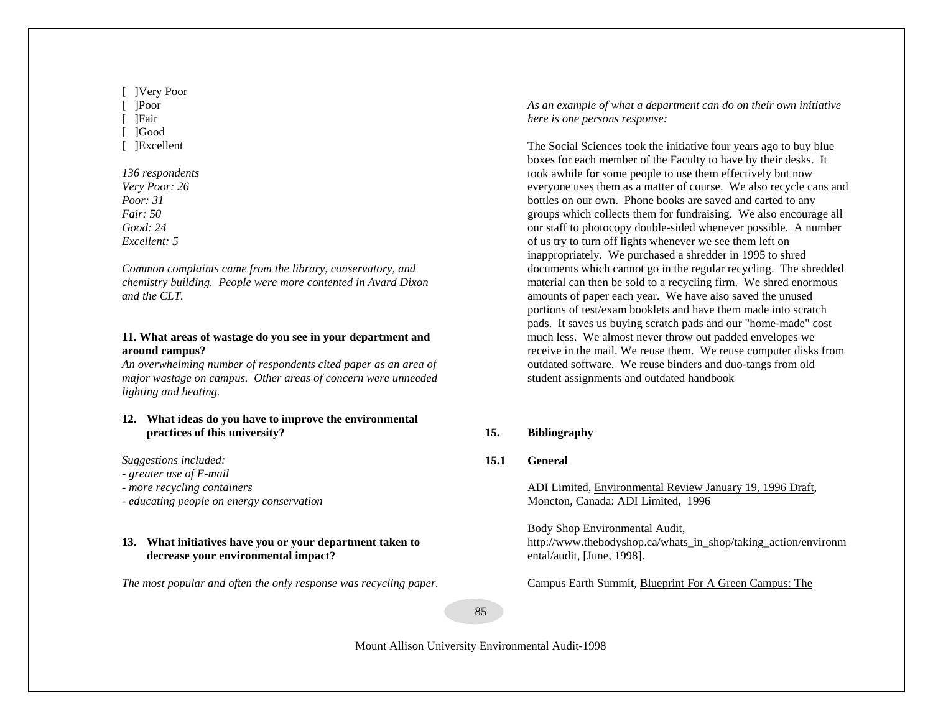[ ]Very Poor [ ]Poor [ ]Fair [ ]Good [ ]Excellent

*136 respondents Very Poor: 26 Poor: 31 Fair: 50 Good: 24 Excellent: 5* 

*Common complaints came from the library, conservatory, and chemistry building. People were more contented in Avard Dixon and the CLT.*

## **11. What areas of wastage do you see in your department and around campus?**

*An overwhelming number of respondents cited paper as an area of major wastage on campus. Other areas of concern were unneeded lighting and heating.*

## **12. What ideas do you have to improve the environmental practices of this university?**

*Suggestions included:* 

- *- greater use of E-mail*
- *more recycling containers*
- *- educating people on energy conservation*

## **13. What initiatives have you or your department taken to decrease your environmental impact?**

*The most popular and often the only response was recycling paper.* 

*As an example of what a department can do on their own initiative here is one persons response:* 

The Social Sciences took the initiative four years ago to buy blue boxes for each member of the Faculty to have by their desks. It took awhile for some people to use them effectively but now everyone uses them as a matter of course. We also recycle cans and bottles on our own. Phone books are saved and carted to any groups which collects them for fundraising. We also encourage all our staff to photocopy double-sided whenever possible. A number of us try to turn off lights whenever we see them left on inappropriately. We purchased a shredder in 1995 to shred documents which cannot go in the regular recycling. The shredded material can then be sold to a recycling firm. We shred enormous amounts of paper each year. We have also saved the unused portions of test/exam booklets and have them made into scratch pads. It saves us buying scratch pads and our "home-made" cost much less. We almost never throw out padded envelopes we receive in the mail. We reuse them. We reuse computer disks from outdated software. We reuse binders and duo-tangs from old student assignments and outdated handbook

## **15. Bibliography**

## **15.1 General**

ADI Limited, Environmental Review January 19, 1996 Draft, Moncton, Canada: ADI Limited, 1996

Body Shop Environmental Audit, http://www.thebodyshop.ca/whats\_in\_shop/taking\_action/environm ental/audit, [June, 1998].

Campus Earth Summit, Blueprint For A Green Campus: The

85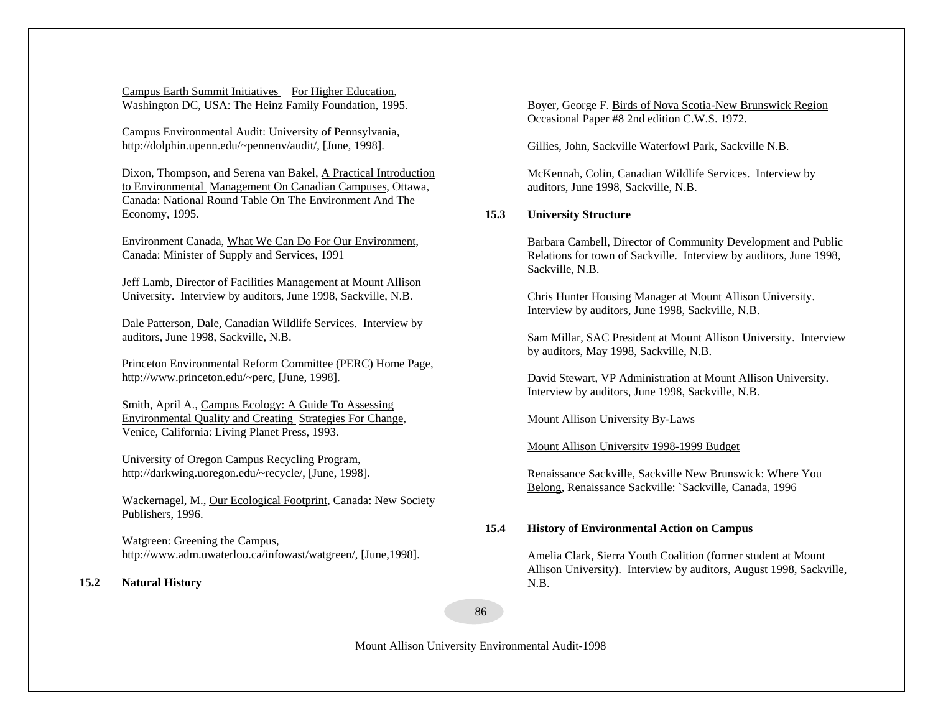Campus Earth Summit Initiatives For Higher Education, Washington DC, USA: The Heinz Family Foundation, 1995.

Campus Environmental Audit: University of Pennsylvania, http://dolphin.upenn.edu/~pennenv/audit/, [June, 1998].

Dixon, Thompson, and Serena van Bakel, A Practical Introduction to Environmental Management On Canadian Campuses, Ottawa, Canada: National Round Table On The Environment And The Economy, 1995.

Environment Canada, What We Can Do For Our Environment, Canada: Minister of Supply and Services, 1991

Jeff Lamb, Director of Facilities Management at Mount Allison University. Interview by auditors, June 1998, Sackville, N.B.

Dale Patterson, Dale, Canadian Wildlife Services. Interview by auditors, June 1998, Sackville, N.B.

Princeton Environmental Reform Committee (PERC) Home Page, http://www.princeton.edu/~perc, [June, 1998].

Smith, April A., Campus Ecology: A Guide To Assessing Environmental Quality and Creating Strategies For Change, Venice, California: Living Planet Press, 1993.

University of Oregon Campus Recycling Program, http://darkwing.uoregon.edu/~recycle/, [June, 1998].

Wackernagel, M., Our Ecological Footprint, Canada: New Society Publishers, 1996.

Watgreen: Greening the Campus, http://www.adm.uwaterloo.ca/infowast/watgreen/, [June,1998].

#### **15.2Natural History**

Boyer, George F. Birds of Nova Scotia-New Brunswick Region Occasional Paper #8 2nd edition C.W.S. 1972.

Gillies, John, Sackville Waterfowl Park, Sackville N.B.

McKennah, Colin, Canadian Wildlife Services. Interview by auditors, June 1998, Sackville, N.B.

## **15.3 University Structure**

Barbara Cambell, Director of Community Development and Public Relations for town of Sackville. Interview by auditors, June 1998, Sackville, N.B.

Chris Hunter Housing Manager at Mount Allison University. Interview by auditors, June 1998, Sackville, N.B.

Sam Millar, SAC President at Mount Allison University. Interview by auditors, May 1998, Sackville, N.B.

David Stewart, VP Administration at Mount Allison University. Interview by auditors, June 1998, Sackville, N.B.

Mount Allison University By-Laws

Mount Allison University 1998-1999 Budget

Renaissance Sackville, Sackville New Brunswick: Where You Belong, Renaissance Sackville: `Sackville, Canada, 1996

## **15.4 History of Environmental Action on Campus**

Amelia Clark, Sierra Youth Coalition (former student at Mount Allison University). Interview by auditors, August 1998, Sackville, N.B.

86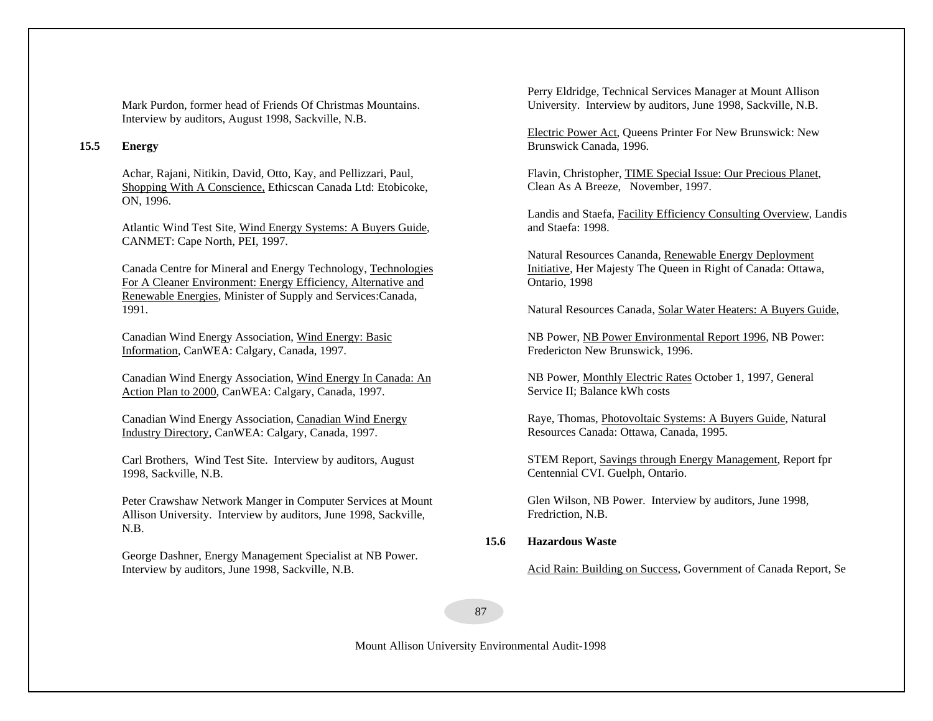Mark Purdon, former head of Friends Of Christmas Mountains. Interview by auditors, August 1998, Sackville, N.B.

## **15.5 Energy**

Achar, Rajani, Nitikin, David, Otto, Kay, and Pellizzari, Paul, Shopping With A Conscience, Ethicscan Canada Ltd: Etobicoke, ON, 1996.

Atlantic Wind Test Site, Wind Energy Systems: A Buyers Guide, CANMET: Cape North, PEI, 1997.

Canada Centre for Mineral and Energy Technology, Technologies For A Cleaner Environment: Energy Efficiency, Alternative and Renewable Energies, Minister of Supply and Services:Canada, 1991.

Canadian Wind Energy Association, Wind Energy: Basic Information, CanWEA: Calgary, Canada, 1997.

Canadian Wind Energy Association, Wind Energy In Canada: An Action Plan to 2000, CanWEA: Calgary, Canada, 1997.

Canadian Wind Energy Association, Canadian Wind Energy Industry Directory, CanWEA: Calgary, Canada, 1997.

Carl Brothers, Wind Test Site. Interview by auditors, August 1998, Sackville, N.B.

Peter Crawshaw Network Manger in Computer Services at Mount Allison University. Interview by auditors, June 1998, Sackville, N.B.

George Dashner, Energy Management Specialist at NB Power. Interview by auditors, June 1998, Sackville, N.B.

Perry Eldridge, Technical Services Manager at Mount Allison University. Interview by auditors, June 1998, Sackville, N.B.

Electric Power Act, Queens Printer For New Brunswick: New Brunswick Canada, 1996.

Flavin, Christopher, TIME Special Issue: Our Precious Planet, Clean As A Breeze, November, 1997.

Landis and Staefa, Facility Efficiency Consulting Overview, Landis and Staefa: 1998.

Natural Resources Cananda, Renewable Energy Deployment Initiative, Her Majesty The Queen in Right of Canada: Ottawa, Ontario, 1998

Natural Resources Canada, Solar Water Heaters: A Buyers Guide,

NB Power, NB Power Environmental Report 1996, NB Power: Fredericton New Brunswick, 1996.

 NB Power, Monthly Electric Rates October 1, 1997, General Service II; Balance kWh costs

Raye, Thomas, Photovoltaic Systems: A Buyers Guide, Natural Resources Canada: Ottawa, Canada, 1995.

STEM Report, Savings through Energy Management, Report fpr Centennial CVI. Guelph, Ontario.

Glen Wilson, NB Power. Interview by auditors, June 1998, Fredriction, N.B.

#### **15.6Hazardous Waste**

Acid Rain: Building on Success, Government of Canada Report, Se

87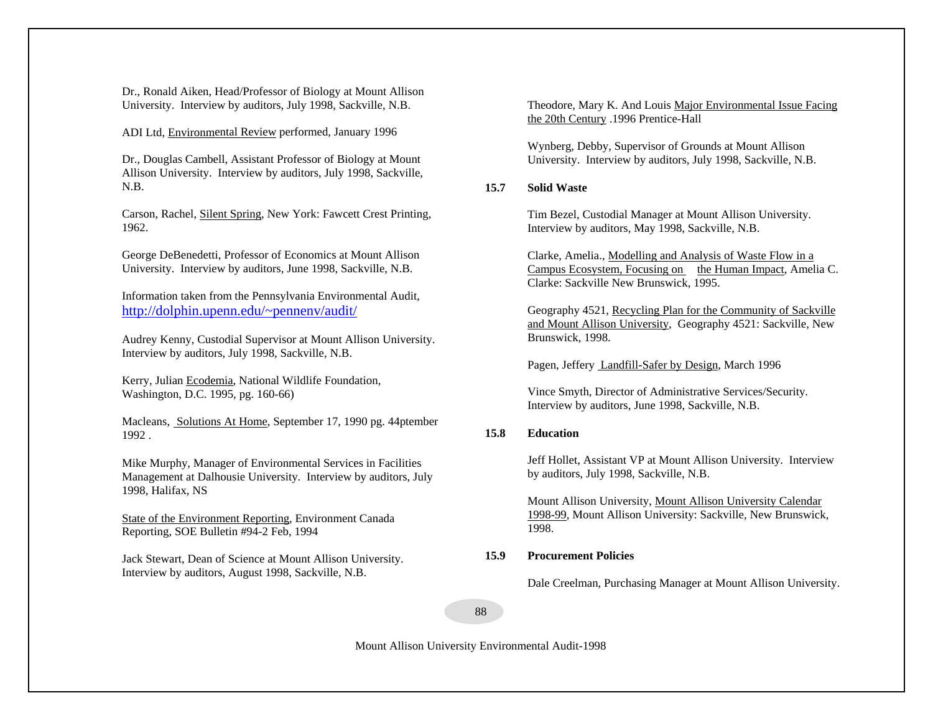Dr., Ronald Aiken, Head/Professor of Biology at Mount Allison University. Interview by auditors, July 1998, Sackville, N.B.

ADI Ltd, Environmental Review performed, January 1996

Dr., Douglas Cambell, Assistant Professor of Biology at Mount Allison University. Interview by auditors, July 1998, Sackville, N.B.

Carson, Rachel, Silent Spring, New York: Fawcett Crest Printing, 1962.

George DeBenedetti, Professor of Economics at Mount Allison University. Interview by auditors, June 1998, Sackville, N.B.

Information taken from the Pennsylvania Environmental Audit, http://dolphin.upenn.edu/~pennenv/audit/

Audrey Kenny, Custodial Supervisor at Mount Allison University. Interview by auditors, July 1998, Sackville, N.B.

Kerry, Julian Ecodemia, National Wildlife Foundation, Washington, D.C. 1995, pg. 160-66)

Macleans, Solutions At Home, September 17, 1990 pg. 44ptember 1992 .

Mike Murphy, Manager of Environmental Services in Facilities Management at Dalhousie University. Interview by auditors, July 1998, Halifax, NS

State of the Environment Reporting, Environment Canada Reporting, SOE Bulletin #94-2 Feb, 1994

Jack Stewart, Dean of Science at Mount Allison University. Interview by auditors, August 1998, Sackville, N.B.

Theodore, Mary K. And Louis Major Environmental Issue Facing the 20th Century .1996 Prentice-Hall

Wynberg, Debby, Supervisor of Grounds at Mount Allison University. Interview by auditors, July 1998, Sackville, N.B.

## **15.7 Solid Waste**

Tim Bezel, Custodial Manager at Mount Allison University. Interview by auditors, May 1998, Sackville, N.B.

Clarke, Amelia., Modelling and Analysis of Waste Flow in a Campus Ecosystem, Focusing on the Human Impact, Amelia C. Clarke: Sackville New Brunswick, 1995.

Geography 4521, Recycling Plan for the Community of Sackville and Mount Allison University, Geography 4521: Sackville, New Brunswick, 1998.

Pagen, Jeffery Landfill-Safer by Design, March 1996

Vince Smyth, Director of Administrative Services/Security. Interview by auditors, June 1998, Sackville, N.B.

## **15.8 Education**

Jeff Hollet, Assistant VP at Mount Allison University. Interview by auditors, July 1998, Sackville, N.B.

Mount Allison University, Mount Allison University Calendar 1998-99, Mount Allison University: Sackville, New Brunswick, 1998.

## **15.9 Procurement Policies**

Dale Creelman, Purchasing Manager at Mount Allison University.

88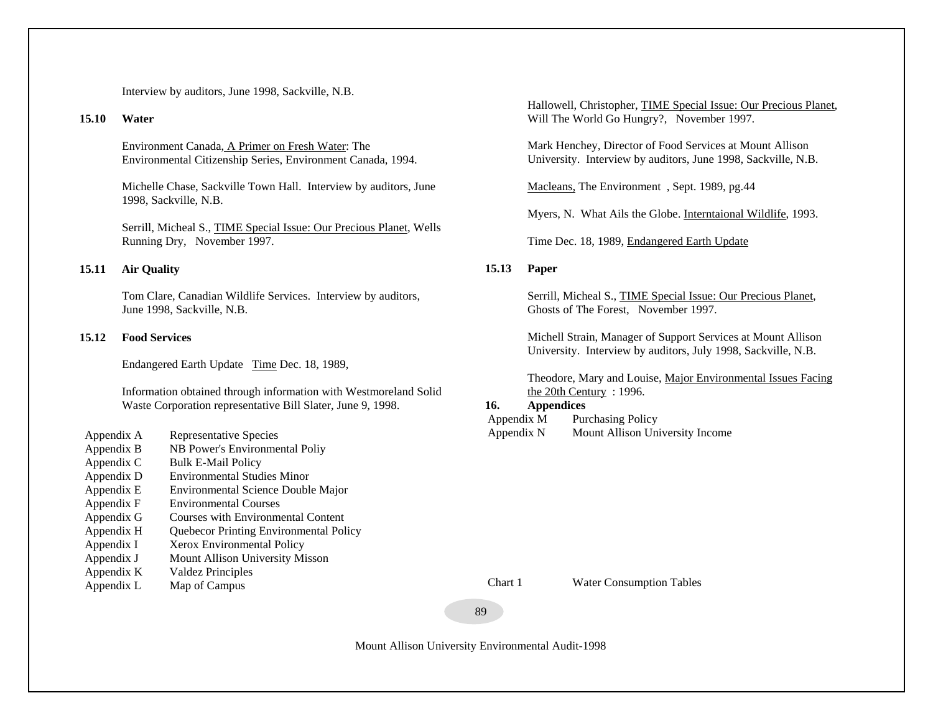Interview by auditors, June 1998, Sackville, N.B.

#### **15.10 Water**

Environment Canada, A Primer on Fresh Water: The Environmental Citizenship Series, Environment Canada, 1994.

Michelle Chase, Sackville Town Hall. Interview by auditors, June 1998, Sackville, N.B.

Serrill, Micheal S., TIME Special Issue: Our Precious Planet, Wells Running Dry, November 1997.

## **15.11 Air Quality**

Tom Clare, Canadian Wildlife Services. Interview by auditors, June 1998, Sackville, N.B.

## **15.12 Food Services**

Endangered Earth Update Time Dec. 18, 1989,

Information obtained through information with Westmoreland Solid Waste Corporation representative Bill Slater, June 9, 1998.

- Appendix A Representative Species Appendix B NB Power's Environmental Poliy Appendix C Bulk E-Mail Policy
- Appendix D Environmental Studies Minor
- Appendix E Environmental Science Double Major
- Appendix F Environmental Courses
- Appendix G Courses with Environmental Content
- Appendix H Quebecor Printing Environmental Policy
- Appendix I Xerox Environmental Policy
- Appendix J Mount Allison University Misson
- Appendix K Valdez Principles
- Appendix L Map of Campus

Hallowell, Christopher, TIME Special Issue: Our Precious Planet, Will The World Go Hungry?, November 1997.

Mark Henchey, Director of Food Services at Mount Allison University. Interview by auditors, June 1998, Sackville, N.B.

Macleans, The Environment, Sept. 1989, pg.44

Myers, N. What Ails the Globe. Interntaional Wildlife, 1993.

Time Dec. 18, 1989, Endangered Earth Update

## **15.13 Paper**

Serrill, Micheal S., TIME Special Issue: Our Precious Planet, Ghosts of The Forest, November 1997.

Michell Strain, Manager of Support Services at Mount Allison University. Interview by auditors, July 1998, Sackville, N.B.

Theodore, Mary and Louise, Major Environmental Issues Facing the 20th Century: 1996.

#### **16.Appendices**

| Appendix M | <b>Purchasing Policy</b>        |
|------------|---------------------------------|
| Appendix N | Mount Allison University Income |

Chart 1 Water Consumption Tables

89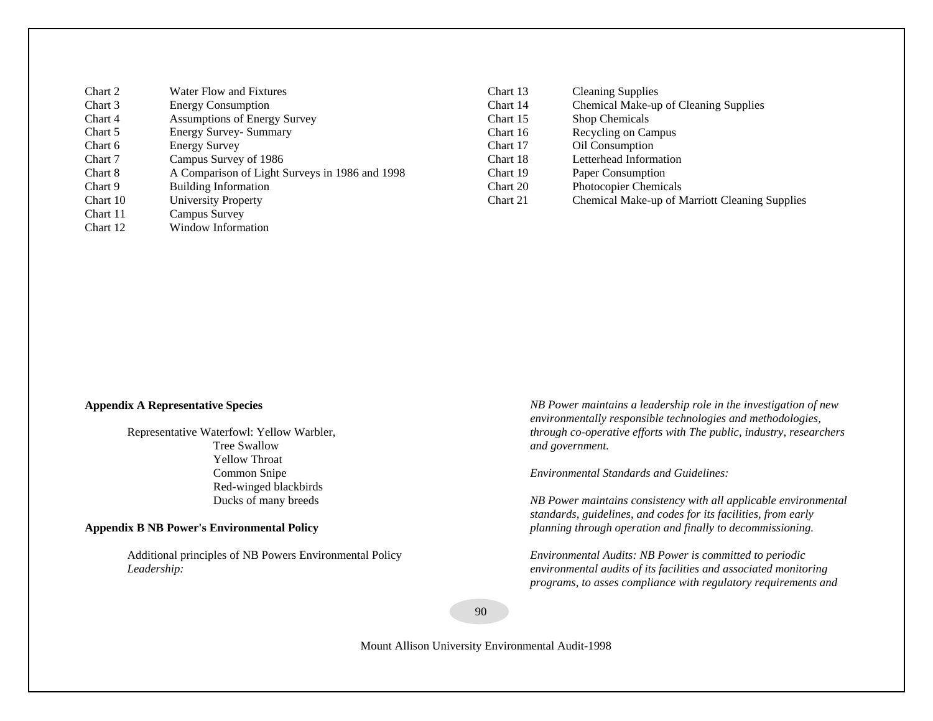| Chart 2  | Water Flow and Fixtures                        | Chart 13 | <b>Cleaning Supplies</b>                       |
|----------|------------------------------------------------|----------|------------------------------------------------|
| Chart 3  | <b>Energy Consumption</b>                      | Chart 14 | Chemical Make-up of Cleaning Supplies          |
| Chart 4  | <b>Assumptions of Energy Survey</b>            | Chart 15 | <b>Shop Chemicals</b>                          |
| Chart 5  | <b>Energy Survey- Summary</b>                  | Chart 16 | Recycling on Campus                            |
| Chart 6  | <b>Energy Survey</b>                           | Chart 17 | Oil Consumption                                |
| Chart 7  | Campus Survey of 1986                          | Chart 18 | Letterhead Information                         |
| Chart 8  | A Comparison of Light Surveys in 1986 and 1998 | Chart 19 | Paper Consumption                              |
| Chart 9  | <b>Building Information</b>                    | Chart 20 | Photocopier Chemicals                          |
| Chart 10 | <b>University Property</b>                     | Chart 21 | Chemical Make-up of Marriott Cleaning Supplies |
| Chart 11 | Campus Survey                                  |          |                                                |

Chart 12 Window Information

# **Appendix A Representative Species**

Representative Waterfowl: Yellow Warbler, Tree Swallow Yellow Throat Common Snipe Red-winged blackbirds Ducks of many breeds

## **Appendix B NB Power's Environmental Policy**

Additional principles of NB Powers Environmental Policy *Leadership:* 

*NB Power maintains a leadership role in the investigation of new environmentally responsible technologies and methodologies, through co-operative efforts with The public, industry, researchers and government.* 

*Environmental Standards and Guidelines:* 

*NB Power maintains consistency with all applicable environmental standards, guidelines, and codes for its facilities, from early planning through operation and finally to decommissioning.* 

*Environmental Audits: NB Power is committed to periodic environmental audits of its facilities and associated monitoring programs, to asses compliance with regulatory requirements and* 

90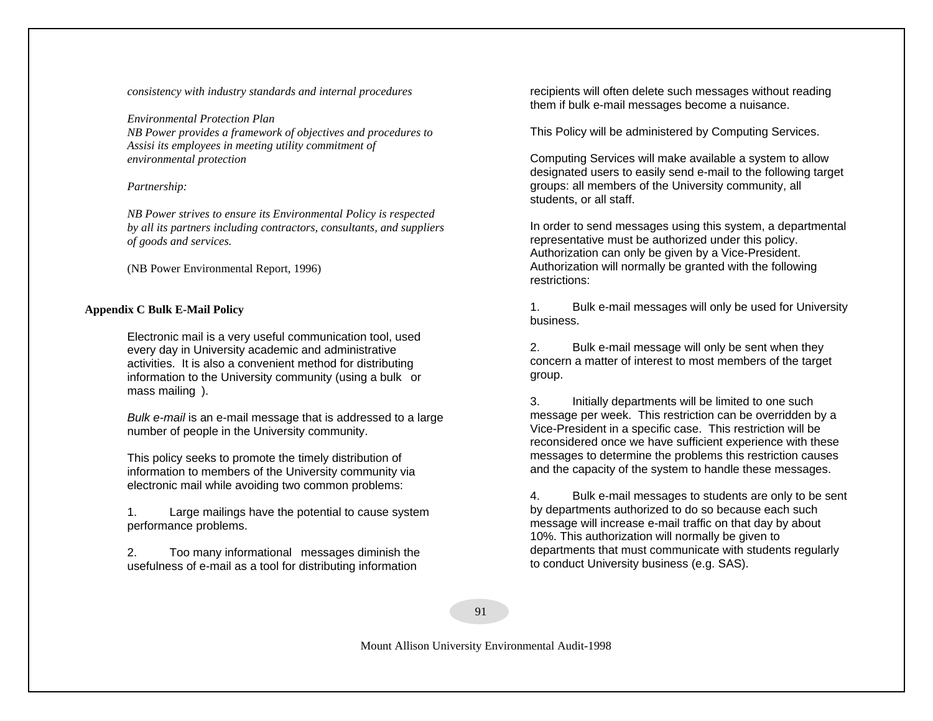*consistency with industry standards and internal procedures* 

*Environmental Protection Plan NB Power provides a framework of objectives and procedures to Assisi its employees in meeting utility commitment of environmental protection* 

## *Partnership:*

*NB Power strives to ensure its Environmental Policy is respected by all its partners including contractors, consultants, and suppliers of goods and services.*

(NB Power Environmental Report, 1996)

## **Appendix C Bulk E-Mail Policy**

Electronic mail is a very useful communication tool, used every day in University academic and administrative activities. It is also a convenient method for distributing information to the University community (using a bulk or mass mailing).

*Bulk e-mail* is an e-mail message that is addressed to a large number of people in the University community.

This policy seeks to promote the timely distribution of information to members of the University community via electronic mail while avoiding two common problems:

1. Large mailings have the potential to cause system performance problems.

2. Too many informational messages diminish the usefulness of e-mail as a tool for distributing information

recipients will often delete such messages without reading them if bulk e-mail messages become a nuisance.

This Policy will be administered by Computing Services.

Computing Services will make available a system to allow designated users to easily send e-mail to the following target groups: all members of the University community, all students, or all staff.

In order to send messages using this system, a departmental representative must be authorized under this policy. Authorization can only be given by a Vice-President. Authorization will normally be granted with the following restrictions:

1. Bulk e-mail messages will only be used for University business.

2. Bulk e-mail message will only be sent when they concern a matter of interest to most members of the target group.

3. Initially departments will be limited to one such message per week. This restriction can be overridden by a Vice-President in a specific case. This restriction will be reconsidered once we have sufficient experience with these messages to determine the problems this restriction causes and the capacity of the system to handle these messages.

4. Bulk e-mail messages to students are only to be sent by departments authorized to do so because each such message will increase e-mail traffic on that day by about 10%. This authorization will normally be given to departments that must communicate with students regularly to conduct University business (e.g. SAS).

91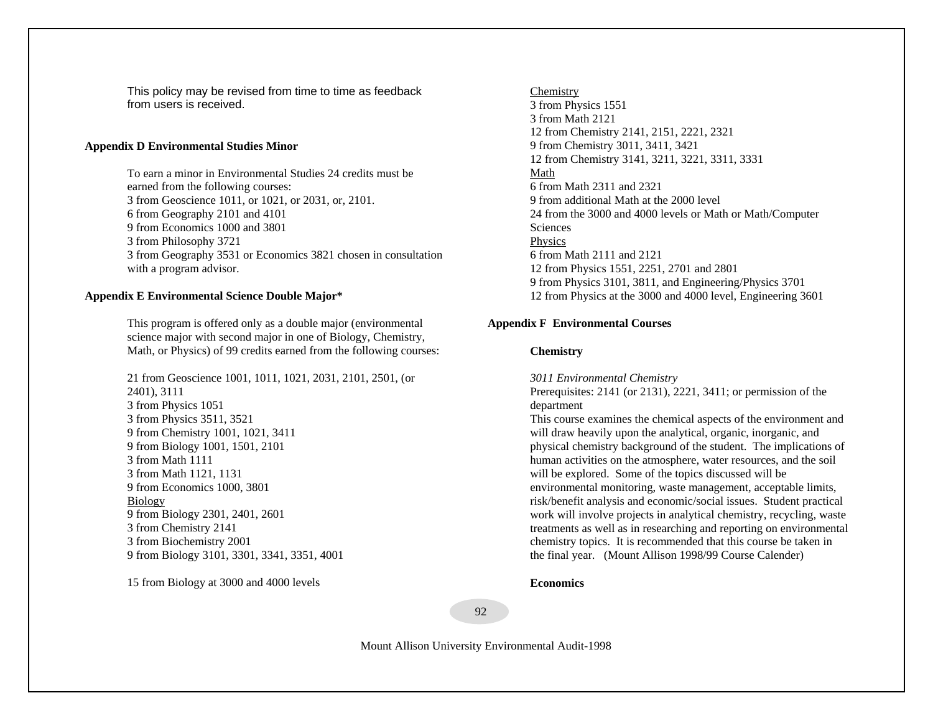This policy may be revised from time to time as feedback from users is received.

## **Appendix D Environmental Studies Minor**

To earn a minor in Environmental Studies 24 credits must be earned from the following courses: 3 from Geoscience 1011, or 1021, or 2031, or, 2101. 6 from Geography 2101 and 4101 9 from Economics 1000 and 3801 3 from Philosophy 3721 3 from Geography 3531 or Economics 3821 chosen in consultation with a program advisor.

## **Appendix E Environmental Science Double Major\***

This program is offered only as a double major (environmental science major with second major in one of Biology, Chemistry, Math, or Physics) of 99 credits earned from the following courses:

21 from Geoscience 1001, 1011, 1021, 2031, 2101, 2501, (or 2401), 3111 3 from Physics 1051 3 from Physics 3511, 3521 9 from Chemistry 1001, 1021, 3411 9 from Biology 1001, 1501, 2101 3 from Math 1111 3 from Math 1121, 1131 9 from Economics 1000, 3801 Biology 9 from Biology 2301, 2401, 2601 3 from Chemistry 2141 3 from Biochemistry 2001 9 from Biology 3101, 3301, 3341, 3351, 4001

15 from Biology at 3000 and 4000 levels

Chemistry 3 from Physics 1551 3 from Math 2121 12 from Chemistry 2141, 2151, 2221, 2321 9 from Chemistry 3011, 3411, 3421 12 from Chemistry 3141, 3211, 3221, 3311, 3331 Math6 from Math 2311 and 2321 9 from additional Math at the 2000 level 24 from the 3000 and 4000 levels or Math or Math/Computer **Sciences** Physics 6 from Math 2111 and 2121 12 from Physics 1551, 2251, 2701 and 2801 9 from Physics 3101, 3811, and Engineering/Physics 3701 12 from Physics at the 3000 and 4000 level, Engineering 3601

## **Appendix F Environmental Courses**

## **Chemistry**

*3011 Environmental Chemistry* 

Prerequisites: 2141 (or 2131), 2221, 3411; or permission of the department

This course examines the chemical aspects of the environment and will draw heavily upon the analytical, organic, inorganic, and physical chemistry background of the student. The implications of human activities on the atmosphere, water resources, and the soil will be explored. Some of the topics discussed will be environmental monitoring, waste management, acceptable limits, risk/benefit analysis and economic/social issues. Student practical work will involve projects in analytical chemistry, recycling, waste treatments as well as in researching and reporting on environmental chemistry topics. It is recommended that this course be taken in the final year. (Mount Allison 1998/99 Course Calender)

#### **Economics**

92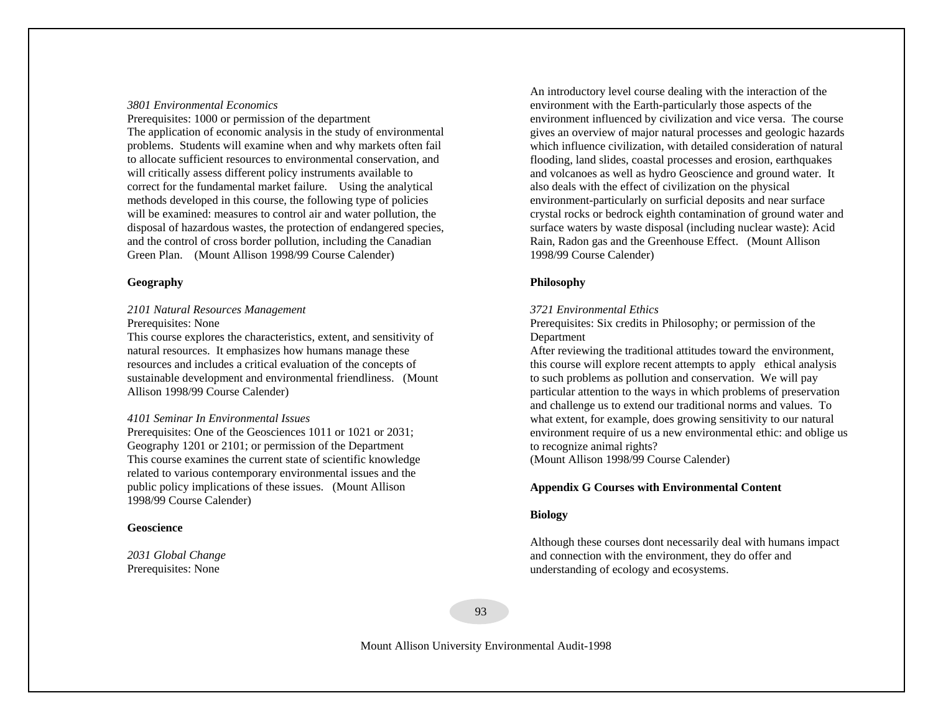## *3801 Environmental Economics*

Prerequisites: 1000 or permission of the department The application of economic analysis in the study of environmental problems. Students will examine when and why markets often fail to allocate sufficient resources to environmental conservation, and will critically assess different policy instruments available to correct for the fundamental market failure. Using the analytical methods developed in this course, the following type of policies will be examined: measures to control air and water pollution, the disposal of hazardous wastes, the protection of endangered species, and the control of cross border pollution, including the Canadian Green Plan. (Mount Allison 1998/99 Course Calender)

## **Geography**

# *2101 Natural Resources Management*

Prerequisites: None

This course explores the characteristics, extent, and sensitivity of natural resources. It emphasizes how humans manage these resources and includes a critical evaluation of the concepts of sustainable development and environmental friendliness. (Mount Allison 1998/99 Course Calender)

#### *4101 Seminar In Environmental Issues*

Prerequisites: One of the Geosciences 1011 or 1021 or 2031; Geography 1201 or 2101; or permission of the Department This course examines the current state of scientific knowledge related to various contemporary environmental issues and the public policy implications of these issues. (Mount Allison 1998/99 Course Calender)

#### **Geoscience**

*2031 Global Change* Prerequisites: None

An introductory level course dealing with the interaction of the environment with the Earth-particularly those aspects of the environment influenced by civilization and vice versa. The course gives an overview of major natural processes and geologic hazards which influence civilization, with detailed consideration of natural flooding, land slides, coastal processes and erosion, earthquakes and volcanoes as well as hydro Geoscience and ground water. It also deals with the effect of civilization on the physical environment-particularly on surficial deposits and near surface crystal rocks or bedrock eighth contamination of ground water and surface waters by waste disposal (including nuclear waste): Acid Rain, Radon gas and the Greenhouse Effect. (Mount Allison 1998/99 Course Calender)

## **Philosophy**

#### *3721 Environmental Ethics*

Prerequisites: Six credits in Philosophy; or permission of the Department

After reviewing the traditional attitudes toward the environment, this course will explore recent attempts to apply ethical analysis to such problems as pollution and conservation. We will pay particular attention to the ways in which problems of preservation and challenge us to extend our traditional norms and values. To what extent, for example, does growing sensitivity to our natural environment require of us a new environmental ethic: and oblige us to recognize animal rights? (Mount Allison 1998/99 Course Calender)

#### **Appendix G Courses with Environmental Content**

#### **Biology**

Although these courses dont necessarily deal with humans impact and connection with the environment, they do offer and understanding of ecology and ecosystems.

93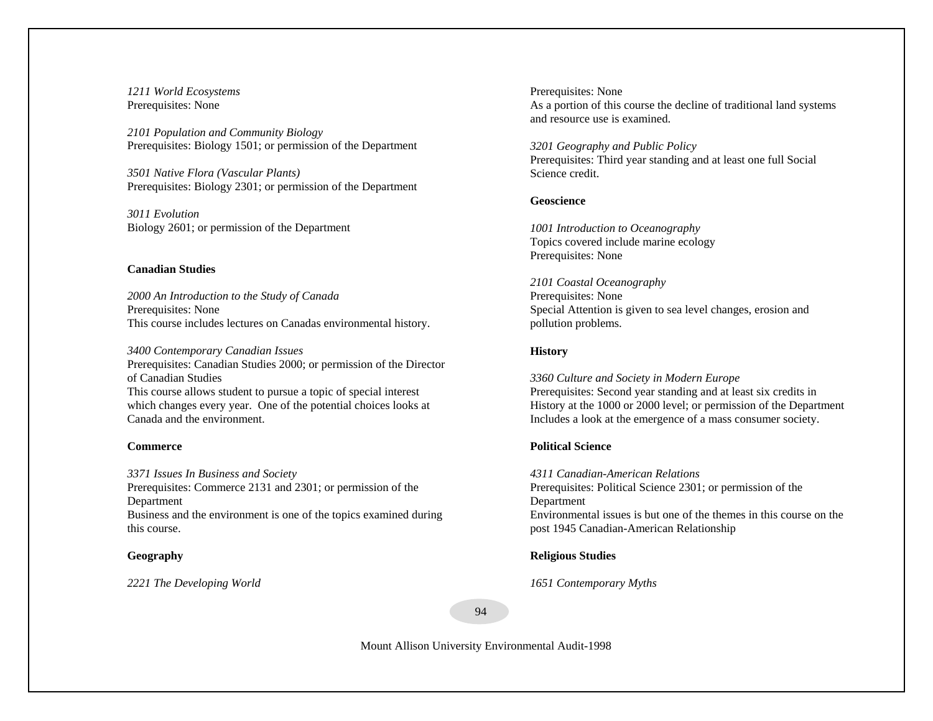*1211 World Ecosystems*  Prerequisites: None

*2101 Population and Community Biology*  Prerequisites: Biology 1501; or permission of the Department

*3501 Native Flora (Vascular Plants)*  Prerequisites: Biology 2301; or permission of the Department

*3011 Evolution* Biology 2601; or permission of the Department

## **Canadian Studies**

*2000 An Introduction to the Study of Canada* Prerequisites: None This course includes lectures on Canadas environmental history.

*3400 Contemporary Canadian Issues*  Prerequisites: Canadian Studies 2000; or permission of the Director of Canadian Studies This course allows student to pursue a topic of special interest which changes every year. One of the potential choices looks at Canada and the environment.

#### **Commerce**

*3371 Issues In Business and Society*  Prerequisites: Commerce 2131 and 2301; or permission of the Department Business and the environment is one of the topics examined during this course.

#### **Geography**

*2221 The Developing World* 

 Prerequisites: None As a portion of this course the decline of traditional land systems and resource use is examined.

*3201 Geography and Public Policy*  Prerequisites: Third year standing and at least one full Social Science credit.

## **Geoscience**

*1001 Introduction to Oceanography*  Topics covered include marine ecology Prerequisites: None

*2101 Coastal Oceanography*  Prerequisites: None Special Attention is given to sea level changes, erosion and pollution problems.

## **History**

*3360 Culture and Society in Modern Europe*  Prerequisites: Second year standing and at least six credits in History at the 1000 or 2000 level; or permission of the Department Includes a look at the emergence of a mass consumer society.

## **Political Science**

*4311 Canadian-American Relations* Prerequisites: Political Science 2301; or permission of the Department Environmental issues is but one of the themes in this course on the post 1945 Canadian-American Relationship

**Religious Studies** 

*1651 Contemporary Myths* 

94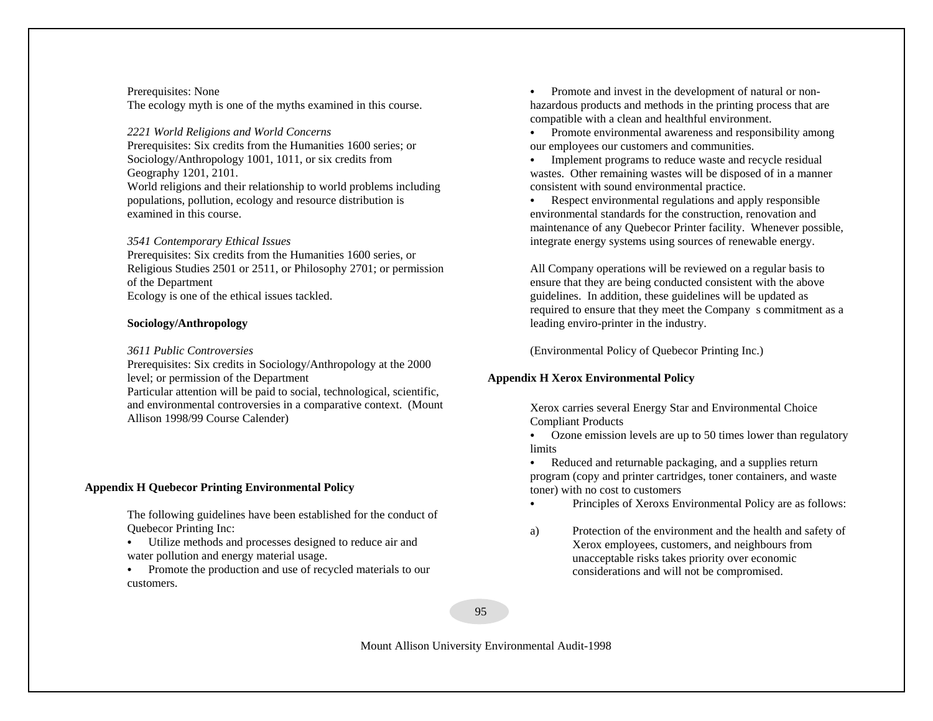## Prerequisites: None The ecology myth is one of the myths examined in this course.

## *2221 World Religions and World Concerns*

Prerequisites: Six credits from the Humanities 1600 series; or Sociology/Anthropology 1001, 1011, or six credits from Geography 1201, 2101.

World religions and their relationship to world problems including populations, pollution, ecology and resource distribution is examined in this course.

## *3541 Contemporary Ethical Issues*

Prerequisites: Six credits from the Humanities 1600 series, or Religious Studies 2501 or 2511, or Philosophy 2701; or permission of the Department Ecology is one of the ethical issues tackled.

## **Sociology/Anthropology**

## *3611 Public Controversies*

Prerequisites: Six credits in Sociology/Anthropology at the 2000 level; or permission of the Department Particular attention will be paid to social, technological, scientific, and environmental controversies in a comparative context.(Mount Allison 1998/99 Course Calender)

## **Appendix H Quebecor Printing Environmental Policy**

The following guidelines have been established for the conduct of Quebecor Printing Inc:

- Utilize methods and processes designed to reduce air and water pollution and energy material usage.
- Promote the production and use of recycled materials to our customers.

 $\bullet$  Promote and invest in the development of natural or nonhazardous products and methods in the printing process that are compatible with a clean and healthful environment.

• Promote environmental awareness and responsibility among our employees our customers and communities.

C Implement programs to reduce waste and recycle residual wastes. Other remaining wastes will be disposed of in a manner consistent with sound environmental practice.

 $\bullet$  Respect environmental regulations and apply responsible environmental standards for the construction, renovation and maintenance of any Quebecor Printer facility. Whenever possible, integrate energy systems using sources of renewable energy.

All Company operations will be reviewed on a regular basis to ensure that they are being conducted consistent with the above guidelines. In addition, these guidelines will be updated as required to ensure that they meet the Company s commitment as a leading enviro-printer in the industry.

(Environmental Policy of Quebecor Printing Inc.)

# **Appendix H Xerox Environmental Policy**

Xerox carries several Energy Star and Environmental Choice Compliant Products

- Ozone emission levels are up to 50 times lower than regulatory limits
- C Reduced and returnable packaging, and a supplies return program (copy and printer cartridges, toner containers, and waste toner) with no cost to customers
- Principles of Xeroxs Environmental Policy are as follows:
- a) Protection of the environment and the health and safety of Xerox employees, customers, and neighbours from unacceptable risks takes priority over economic considerations and will not be compromised.

95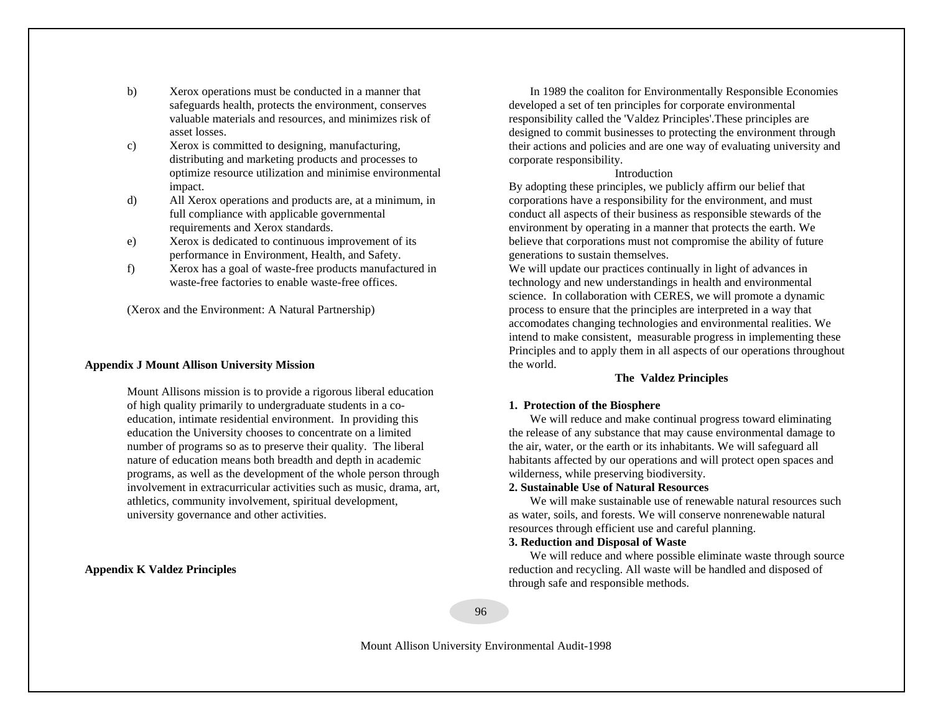- b) Xerox operations must be conducted in a manner that safeguards health, protects the environment, conserves valuable materials and resources, and minimizes risk of asset losses.
- c) Xerox is committed to designing, manufacturing, distributing and marketing products and processes to optimize resource utilization and minimise environmental impact.
- d) All Xerox operations and products are, at a minimum, in full compliance with applicable governmental requirements and Xerox standards.
- e) Xerox is dedicated to continuous improvement of its performance in Environment, Health, and Safety.
- f) Xerox has a goal of waste-free products manufactured in waste-free factories to enable waste-free offices.

(Xerox and the Environment: A Natural Partnership)

## **Appendix J Mount Allison University Mission**

Mount Allisons mission is to provide a rigorous liberal education of high quality primarily to undergraduate students in a coeducation, intimate residential environment. In providing this education the University chooses to concentrate on a limited number of programs so as to preserve their quality. The liberal nature of education means both breadth and depth in academic programs, as well as the development of the whole person through involvement in extracurricular activities such as music, drama, art, athletics, community involvement, spiritual development, university governance and other activities.

#### **Appendix K Valdez Principles**

In 1989 the coaliton for Environmentally Responsible Economies developed a set of ten principles for corporate environmental responsibility called the 'Valdez Principles'.These principles are designed to commit businesses to protecting the environment through their actions and policies and are one way of evaluating university and corporate responsibility.

#### Introduction

By adopting these principles, we publicly affirm our belief that corporations have a responsibility for the environment, and must conduct all aspects of their business as responsible stewards of the environment by operating in a manner that protects the earth. We believe that corporations must not compromise the ability of future generations to sustain themselves.

We will update our practices continually in light of advances in technology and new understandings in health and environmental science. In collaboration with CERES, we will promote a dynamic process to ensure that the principles are interpreted in a way that accomodates changing technologies and environmental realities. We intend to make consistent, measurable progress in implementing these Principles and to apply them in all aspects of our operations throughout the world.

#### **The Valdez Principles**

## **1. Protection of the Biosphere**

We will reduce and make continual progress toward eliminating the release of any substance that may cause environmental damage to the air, water, or the earth or its inhabitants. We will safeguard all habitants affected by our operations and will protect open spaces and wilderness, while preserving biodiversity.

## **2. Sustainable Use of Natural Resources**

We will make sustainable use of renewable natural resources such as water, soils, and forests. We will conserve nonrenewable natural resources through efficient use and careful planning.

## **3. Reduction and Disposal of Waste**

We will reduce and where possible eliminate waste through source reduction and recycling. All waste will be handled and disposed of through safe and responsible methods.

96